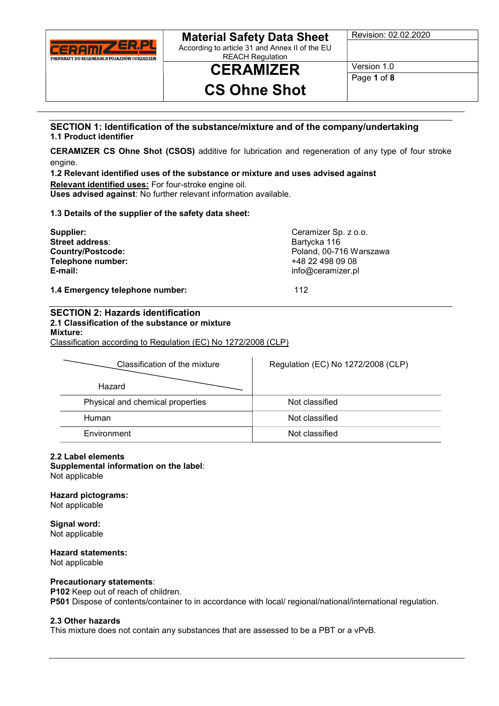

According to article 31 and Annex II of the EU REACH Regulation

Revision: 02.02.2020

**CERAMIZER** Version 1.0

# CS Ohne Shot

Page 1 of 8

#### SECTION 1: Identification of the substance/mixture and of the company/undertaking 1.1 Product identifier

CERAMIZER CS Ohne Shot (CSOS) additive for lubrication and regeneration of any type of four stroke engine.

1.2 Relevant identified uses of the substance or mixture and uses advised against Relevant identified uses: For four-stroke engine oil. Uses advised against: No further relevant information available.

1.3 Details of the supplier of the safety data sheet:

| Ceramizer Sp. z o.o.    |
|-------------------------|
| Bartycka 116            |
| Poland, 00-716 Warszawa |
| +48 22 498 09 08        |
| info@ceramizer.pl       |
|                         |
|                         |

1.4 Emergency telephone number: 112

### SECTION 2: Hazards identification 2.1 Classification of the substance or mixture Mixture:

Classification according to Regulation (EC) No 1272/2008 (CLP)

| Classification of the mixture    | Regulation (EC) No 1272/2008 (CLP) |
|----------------------------------|------------------------------------|
| Hazard                           |                                    |
| Physical and chemical properties | Not classified                     |
| Human                            | Not classified                     |
| Environment                      | Not classified                     |

#### 2.2 Label elements

## Supplemental information on the label:

Not applicable

Hazard pictograms:

Not applicable

Signal word: Not applicable

### Hazard statements:

Not applicable

#### Precautionary statements:

P102 Keep out of reach of children.

P501 Dispose of contents/container to in accordance with local/ regional/national/international regulation.

#### 2.3 Other hazards

This mixture does not contain any substances that are assessed to be a PBT or a vPvB.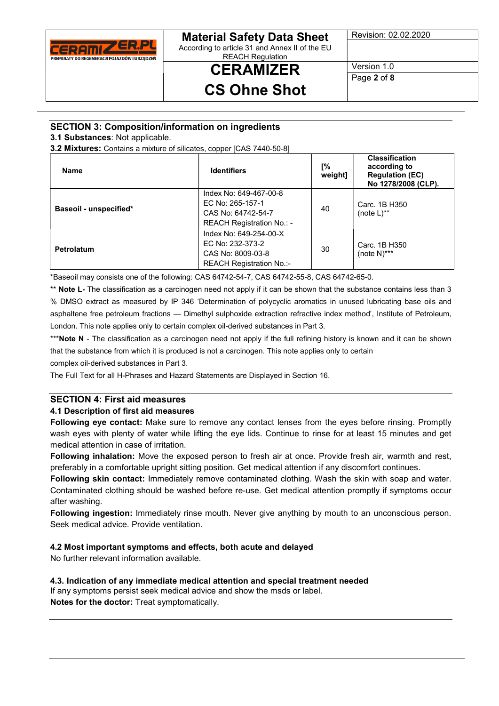

According to article 31 and Annex II of the EU REACH Regulation

# CERAMIZER

Revision: 02.02.2020

Version 1.0 Page 2 of 8

CS Ohne Shot

### SECTION 3: Composition/information on ingredients

3.1 Substances: Not applicable.

3.2 Mixtures: Contains a mixture of silicates, copper [CAS 7440-50-8]

| <b>Name</b>            | <b>Identifiers</b>                                                                            | Γ%<br>weight] | <b>Classification</b><br>according to<br><b>Regulation (EC)</b><br>No 1278/2008 (CLP). |
|------------------------|-----------------------------------------------------------------------------------------------|---------------|----------------------------------------------------------------------------------------|
| Baseoil - unspecified* | Index No: 649-467-00-8<br>EC No: 265-157-1<br>CAS No: 64742-54-7<br>REACH Registration No.: - | 40            | Carc. 1B H350<br>(note $L$ )**                                                         |
| Petrolatum             | Index No: 649-254-00-X<br>EC No: 232-373-2<br>CAS No: 8009-03-8<br>REACH Registration No.:-   | 30            | Carc. 1B H350<br>(note $N$ )***                                                        |

\*Baseoil may consists one of the following: CAS 64742-54-7, CAS 64742-55-8, CAS 64742-65-0.

\*\* Note L- The classification as a carcinogen need not apply if it can be shown that the substance contains less than 3 % DMSO extract as measured by IP 346 'Determination of polycyclic aromatics in unused lubricating base oils and asphaltene free petroleum fractions — Dimethyl sulphoxide extraction refractive index method', Institute of Petroleum, London. This note applies only to certain complex oil-derived substances in Part 3.

\*\*\*Note N - The classification as a carcinogen need not apply if the full refining history is known and it can be shown that the substance from which it is produced is not a carcinogen. This note applies only to certain

complex oil-derived substances in Part 3.

The Full Text for all H-Phrases and Hazard Statements are Displayed in Section 16.

#### SECTION 4: First aid measures 4.1 Description of first aid measures

Following eye contact: Make sure to remove any contact lenses from the eyes before rinsing. Promptly wash eyes with plenty of water while lifting the eye lids. Continue to rinse for at least 15 minutes and get medical attention in case of irritation.

Following inhalation: Move the exposed person to fresh air at once. Provide fresh air, warmth and rest, preferably in a comfortable upright sitting position. Get medical attention if any discomfort continues.

Following skin contact: Immediately remove contaminated clothing. Wash the skin with soap and water. Contaminated clothing should be washed before re-use. Get medical attention promptly if symptoms occur after washing.

Following ingestion: Immediately rinse mouth. Never give anything by mouth to an unconscious person. Seek medical advice. Provide ventilation.

### 4.2 Most important symptoms and effects, both acute and delayed

No further relevant information available.

4.3. Indication of any immediate medical attention and special treatment needed If any symptoms persist seek medical advice and show the msds or label. Notes for the doctor: Treat symptomatically.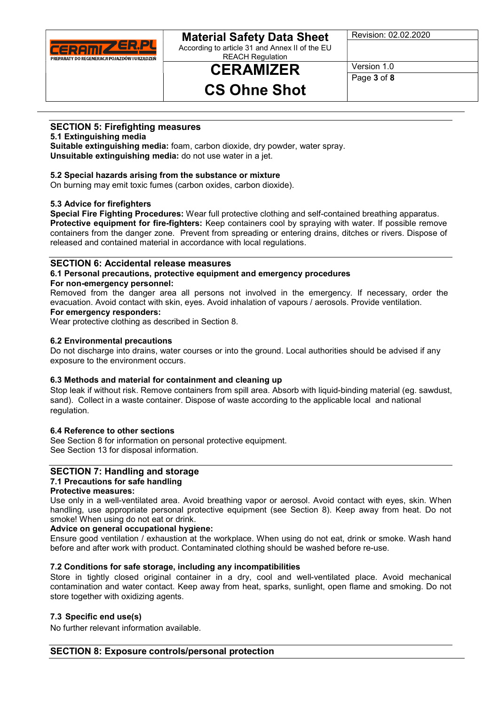

According to article 31 and Annex II of the EU REACH Regulation

# CERAMIZER

Revision: 02.02.2020

Version 1.0 Page 3 of 8

# CS Ohne Shot

### SECTION 5: Firefighting measures

5.1 Extinguishing media

Suitable extinguishing media: foam, carbon dioxide, dry powder, water spray. Unsuitable extinguishing media: do not use water in a jet.

### 5.2 Special hazards arising from the substance or mixture

On burning may emit toxic fumes (carbon oxides, carbon dioxide).

#### 5.3 Advice for firefighters

Special Fire Fighting Procedures: Wear full protective clothing and self-contained breathing apparatus. Protective equipment for fire-fighters: Keep containers cool by spraying with water. If possible remove containers from the danger zone. Prevent from spreading or entering drains, ditches or rivers. Dispose of released and contained material in accordance with local regulations.

#### SECTION 6: Accidental release measures

6.1 Personal precautions, protective equipment and emergency procedures For non-emergency personnel:

Removed from the danger area all persons not involved in the emergency. If necessary, order the evacuation. Avoid contact with skin, eyes. Avoid inhalation of vapours / aerosols. Provide ventilation.

### For emergency responders:

Wear protective clothing as described in Section 8.

#### 6.2 Environmental precautions

Do not discharge into drains, water courses or into the ground. Local authorities should be advised if any exposure to the environment occurs.

#### 6.3 Methods and material for containment and cleaning up

Stop leak if without risk. Remove containers from spill area. Absorb with liquid-binding material (eg. sawdust, sand). Collect in a waste container. Dispose of waste according to the applicable local and national regulation.

#### 6.4 Reference to other sections

See Section 8 for information on personal protective equipment. See Section 13 for disposal information.

### SECTION 7: Handling and storage

### 7.1 Precautions for safe handling

### Protective measures:

Use only in a well-ventilated area. Avoid breathing vapor or aerosol. Avoid contact with eyes, skin. When handling, use appropriate personal protective equipment (see Section 8). Keep away from heat. Do not smoke! When using do not eat or drink.

#### Advice on general occupational hygiene:

Ensure good ventilation / exhaustion at the workplace. When using do not eat, drink or smoke. Wash hand before and after work with product. Contaminated clothing should be washed before re-use.

#### 7.2 Conditions for safe storage, including any incompatibilities

Store in tightly closed original container in a dry, cool and well-ventilated place. Avoid mechanical contamination and water contact. Keep away from heat, sparks, sunlight, open flame and smoking. Do not store together with oxidizing agents.

#### 7.3 Specific end use(s)

No further relevant information available.

### SECTION 8: Exposure controls/personal protection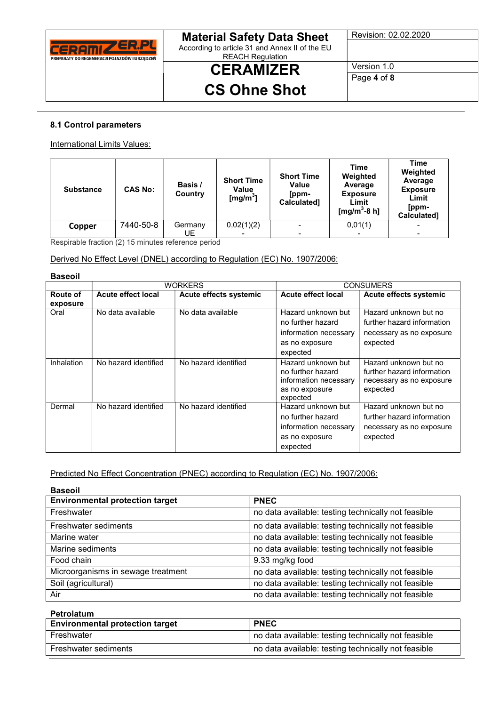

According to article 31 and Annex II of the EU REACH Regulation

# **CERAMIZER** CS Ohne Shot

Revision: 02.02.2020

Version 1.0 Page 4 of 8

#### 8.1 Control parameters

International Limits Values:

| <b>Substance</b> | <b>CAS No:</b> | Basis /<br>Country | <b>Short Time</b><br>Value<br>[mg/m <sup>3</sup> ] | <b>Short Time</b><br>Value<br>[ppm-<br>Calculated] | <b>Time</b><br>Weighted<br>Average<br><b>Exposure</b><br>Limit<br>[mg/m <sup>3</sup> -8 h] | Time<br>Weighted<br>Average<br><b>Exposure</b><br>Limit<br>[ppm-<br><b>Calculated1</b> |
|------------------|----------------|--------------------|----------------------------------------------------|----------------------------------------------------|--------------------------------------------------------------------------------------------|----------------------------------------------------------------------------------------|
| Copper           | 7440-50-8      | Germany            | 0,02(1)(2)                                         |                                                    | 0,01(1)                                                                                    |                                                                                        |
|                  |                | UE                 |                                                    |                                                    |                                                                                            |                                                                                        |

Respirable fraction (2) 15 minutes reference period

#### Derived No Effect Level (DNEL) according to Regulation (EC) No. 1907/2006:

| <b>Baseoil</b>       |                           |                        |                                                                                                |                                                                                             |  |
|----------------------|---------------------------|------------------------|------------------------------------------------------------------------------------------------|---------------------------------------------------------------------------------------------|--|
|                      | <b>WORKERS</b>            |                        | <b>CONSUMERS</b>                                                                               |                                                                                             |  |
| Route of<br>exposure | <b>Acute effect local</b> | Acute effects systemic | <b>Acute effect local</b>                                                                      | Acute effects systemic                                                                      |  |
| Oral                 | No data available         | No data available      | Hazard unknown but<br>no further hazard<br>information necessary<br>as no exposure<br>expected | Hazard unknown but no<br>further hazard information<br>necessary as no exposure<br>expected |  |
| Inhalation           | No hazard identified      | No hazard identified   | Hazard unknown but<br>no further hazard<br>information necessary<br>as no exposure<br>expected | Hazard unknown but no<br>further hazard information<br>necessary as no exposure<br>expected |  |
| Dermal               | No hazard identified      | No hazard identified   | Hazard unknown but<br>no further hazard<br>information necessary<br>as no exposure<br>expected | Hazard unknown but no<br>further hazard information<br>necessary as no exposure<br>expected |  |

Predicted No Effect Concentration (PNEC) according to Regulation (EC) No. 1907/2006:

| <b>Baseoil</b>                         |                                                     |
|----------------------------------------|-----------------------------------------------------|
| <b>Environmental protection target</b> | <b>PNEC</b>                                         |
| Freshwater                             | no data available: testing technically not feasible |
| Freshwater sediments                   | no data available: testing technically not feasible |
| Marine water                           | no data available: testing technically not feasible |
| Marine sediments                       | no data available: testing technically not feasible |
| Food chain                             | 9.33 mg/kg food                                     |
| Microorganisms in sewage treatment     | no data available: testing technically not feasible |
| Soil (agricultural)                    | no data available: testing technically not feasible |
| Air                                    | no data available: testing technically not feasible |

Petrolatum

| <b>Environmental protection target</b> | <b>PNEC</b>                                         |
|----------------------------------------|-----------------------------------------------------|
| Freshwater                             | no data available: testing technically not feasible |
| <b>Freshwater sediments</b>            | no data available: testing technically not feasible |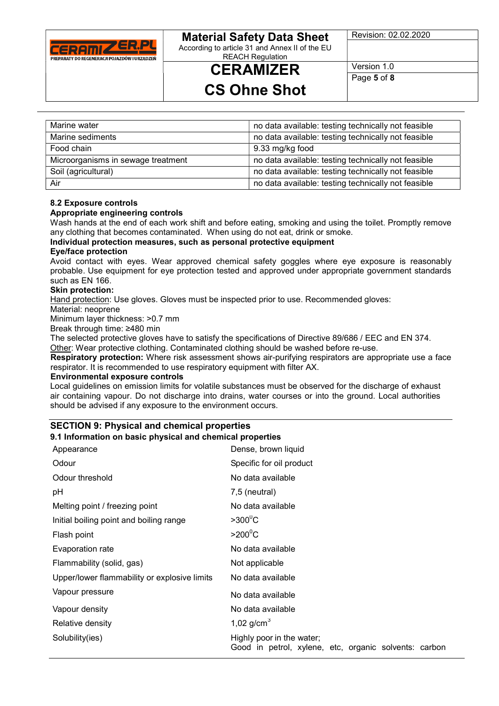

According to article 31 and Annex II of the EU REACH Regulation

Revision: 02.02.2020

Version 1.0

# CS Ohne Shot

**CERAMIZER** 

Page 5 of 8

| Marine water                       | no data available: testing technically not feasible |
|------------------------------------|-----------------------------------------------------|
| Marine sediments                   | no data available: testing technically not feasible |
| Food chain                         | 9.33 mg/kg food                                     |
| Microorganisms in sewage treatment | no data available: testing technically not feasible |
| Soil (agricultural)                | no data available: testing technically not feasible |
| Air                                | no data available: testing technically not feasible |

#### 8.2 Exposure controls

#### Appropriate engineering controls

Wash hands at the end of each work shift and before eating, smoking and using the toilet. Promptly remove any clothing that becomes contaminated. When using do not eat, drink or smoke.

### Individual protection measures, such as personal protective equipment

#### Eye/face protection

Avoid contact with eyes. Wear approved chemical safety goggles where eye exposure is reasonably probable. Use equipment for eye protection tested and approved under appropriate government standards such as EN 166.

#### Skin protection:

Hand protection: Use gloves. Gloves must be inspected prior to use. Recommended gloves:

#### Material: neoprene

Minimum layer thickness: >0.7 mm

Break through time: ≥480 min

The selected protective gloves have to satisfy the specifications of Directive 89/686 / EEC and EN 374.

Other: Wear protective clothing. Contaminated clothing should be washed before re-use.

Respiratory protection: Where risk assessment shows air-purifying respirators are appropriate use a face respirator. It is recommended to use respiratory equipment with filter AX.

#### Environmental exposure controls

Local guidelines on emission limits for volatile substances must be observed for the discharge of exhaust air containing vapour. Do not discharge into drains, water courses or into the ground. Local authorities should be advised if any exposure to the environment occurs.

### SECTION 9: Physical and chemical properties

### 9.1 Information on basic physical and chemical properties

| Appearance                                   | Dense, brown liquid                                                                |
|----------------------------------------------|------------------------------------------------------------------------------------|
| Odour                                        | Specific for oil product                                                           |
| Odour threshold                              | No data available                                                                  |
| рH                                           | 7,5 (neutral)                                                                      |
| Melting point / freezing point               | No data available                                                                  |
| Initial boiling point and boiling range      | $>300^{\circ}$ C                                                                   |
| Flash point                                  | $>200^{\circ}$ C                                                                   |
| Evaporation rate                             | No data available                                                                  |
| Flammability (solid, gas)                    | Not applicable                                                                     |
| Upper/lower flammability or explosive limits | No data available                                                                  |
| Vapour pressure                              | No data available                                                                  |
| Vapour density                               | No data available                                                                  |
| Relative density                             | 1,02 $g/cm^{3}$                                                                    |
| Solubility(ies)                              | Highly poor in the water;<br>Good in petrol, xylene, etc, organic solvents: carbon |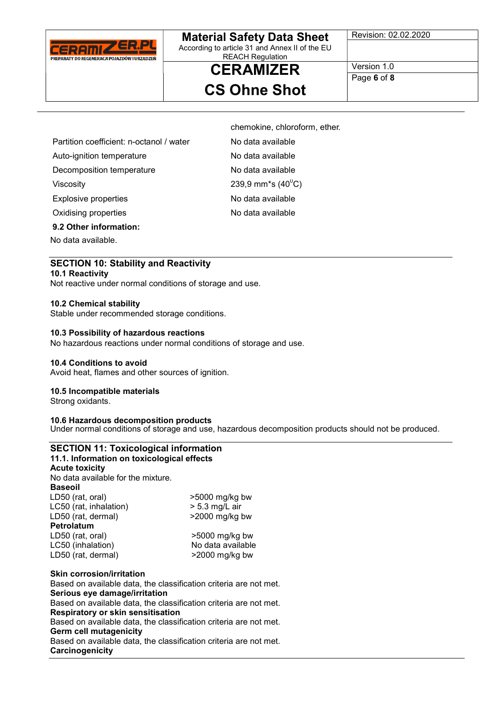

According to article 31 and Annex II of the EU REACH Regulation

Revision: 02.02.2020

**CERAMIZER** CS Ohne Shot

chemokine, chloroform, ether.

Version 1.0 Page 6 of 8

Partition coefficient: n-octanol / water No data available

Auto-ignition temperature No data available

Decomposition temperature No data available

Viscosity 239,9 mm<sup>\*</sup>s (40<sup>0</sup>C)

Explosive properties No data available

Oxidising properties No data available

9.2 Other information:

No data available.

### SECTION 10: Stability and Reactivity

#### 10.1 Reactivity

Not reactive under normal conditions of storage and use.

#### 10.2 Chemical stability

Stable under recommended storage conditions.

#### 10.3 Possibility of hazardous reactions

No hazardous reactions under normal conditions of storage and use.

#### 10.4 Conditions to avoid

Avoid heat, flames and other sources of ignition.

#### 10.5 Incompatible materials

Strong oxidants.

#### 10.6 Hazardous decomposition products

Under normal conditions of storage and use, hazardous decomposition products should not be produced.

| <b>SECTION 11: Toxicological information</b> |                                                                   |
|----------------------------------------------|-------------------------------------------------------------------|
| 11.1. Information on toxicological effects   |                                                                   |
| <b>Acute toxicity</b>                        |                                                                   |
| No data available for the mixture.           |                                                                   |
| <b>Baseoil</b>                               |                                                                   |
| LD50 (rat, oral)                             | $>5000$ mg/kg bw                                                  |
| LC50 (rat, inhalation)                       | $> 5.3$ mg/L air                                                  |
| LD50 (rat, dermal)                           | $>2000$ mg/kg bw                                                  |
| Petrolatum                                   |                                                                   |
| LD50 (rat, oral)                             | $>5000$ mg/kg bw                                                  |
| LC50 (inhalation)                            | No data available                                                 |
| LD50 (rat, dermal)                           | $>$ 2000 mg/kg bw                                                 |
| <b>Skin corrosion/irritation</b>             |                                                                   |
|                                              | Based on available data, the classification criteria are not met. |
| Carious ave democalizzitation                |                                                                   |

Serious eye damage/irritation Based on available data, the classification criteria are not met. Respiratory or skin sensitisation Based on available data, the classification criteria are not met. Germ cell mutagenicity Based on available data, the classification criteria are not met. **Carcinogenicity**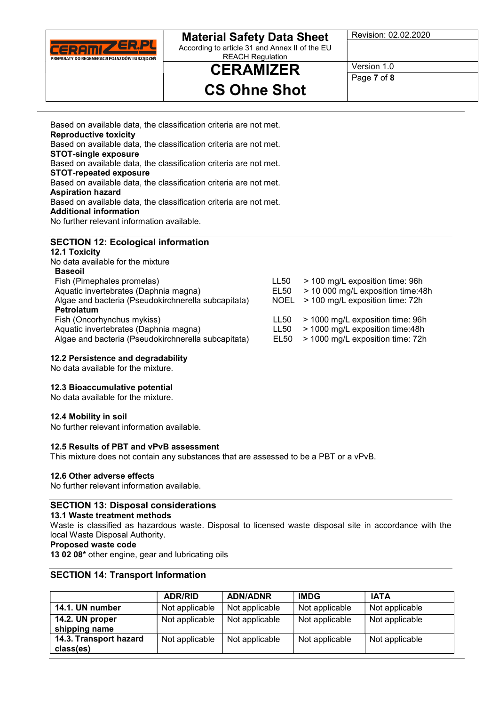

According to article 31 and Annex II of the EU REACH Regulation

# **CERAMIZER** CS Ohne Shot

Revision: 02.02.2020

Version 1.0 Page 7 of 8

Based on available data, the classification criteria are not met. Reproductive toxicity Based on available data, the classification criteria are not met. STOT-single exposure Based on available data, the classification criteria are not met. STOT-repeated exposure Based on available data, the classification criteria are not met. Aspiration hazard Based on available data, the classification criteria are not met. Additional information No further relevant information available.

### SECTION 12: Ecological information

12.1 Toxicity No data available for the mixture Baseoil Fish (Pimephales promelas) LL50 > 100 mg/L exposition time: 96h Aquatic invertebrates (Daphnia magna) Algae and bacteria (Pseudokirchnerella subcapitata) NOEL > 100 mg/L exposition time: 72h Petrolatum Fish (Oncorhynchus mykiss) LL50 > 1000 mg/L exposition time: 96h Aquatic invertebrates (Daphnia magna) <br>Algae and bacteria (Pseudokirchnerella subcapitata) EL50 > 1000 mg/L exposition time: 72h Algae and bacteria (Pseudokirchnerella subcapitata) EL50

#### 12.2 Persistence and degradability

No data available for the mixture.

#### 12.3 Bioaccumulative potential

No data available for the mixture.

#### 12.4 Mobility in soil

No further relevant information available.

#### 12.5 Results of PBT and vPvB assessment

This mixture does not contain any substances that are assessed to be a PBT or a vPvB.

#### 12.6 Other adverse effects

No further relevant information available.

#### SECTION 13: Disposal considerations

#### 13.1 Waste treatment methods

Waste is classified as hazardous waste. Disposal to licensed waste disposal site in accordance with the local Waste Disposal Authority.

#### Proposed waste code

13 02 08\* other engine, gear and lubricating oils

#### SECTION 14: Transport Information

|                                     | <b>ADR/RID</b> | <b>ADN/ADNR</b> | <b>IMDG</b>    | <b>IATA</b>    |
|-------------------------------------|----------------|-----------------|----------------|----------------|
| 14.1. UN number                     | Not applicable | Not applicable  | Not applicable | Not applicable |
| 14.2. UN proper<br>shipping name    | Not applicable | Not applicable  | Not applicable | Not applicable |
| 14.3. Transport hazard<br>class(es) | Not applicable | Not applicable  | Not applicable | Not applicable |